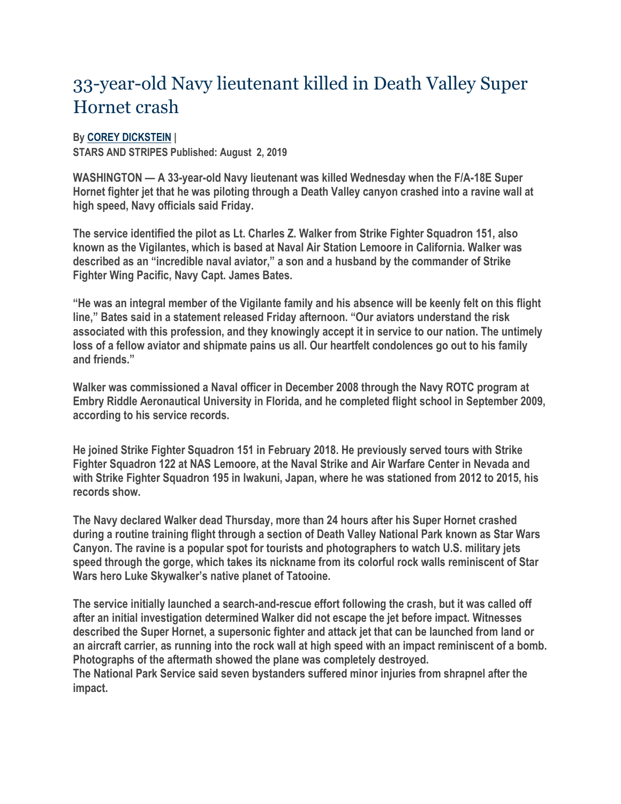## 33-year-old Navy lieutenant killed in Death Valley Super Hornet crash

## **By [COREY DICKSTEIN](https://www.stripes.com/reporters/2.2149?author=Corey_Dickstein) |**

**STARS AND STRIPES Published: August 2, 2019**

**WASHINGTON — A 33-year-old Navy lieutenant was killed Wednesday when the F/A-18E Super Hornet fighter jet that he was piloting through a Death Valley canyon crashed into a ravine wall at high speed, Navy officials said Friday.**

**The service identified the pilot as Lt. Charles Z. Walker from Strike Fighter Squadron 151, also known as the Vigilantes, which is based at Naval Air Station Lemoore in California. Walker was described as an "incredible naval aviator," a son and a husband by the commander of Strike Fighter Wing Pacific, Navy Capt. James Bates.**

**"He was an integral member of the Vigilante family and his absence will be keenly felt on this flight line," Bates said in a statement released Friday afternoon. "Our aviators understand the risk associated with this profession, and they knowingly accept it in service to our nation. The untimely loss of a fellow aviator and shipmate pains us all. Our heartfelt condolences go out to his family and friends."**

**Walker was commissioned a Naval officer in December 2008 through the Navy ROTC program at Embry Riddle Aeronautical University in Florida, and he completed flight school in September 2009, according to his service records.**

**He joined Strike Fighter Squadron 151 in February 2018. He previously served tours with Strike Fighter Squadron 122 at NAS Lemoore, at the Naval Strike and Air Warfare Center in Nevada and with Strike Fighter Squadron 195 in Iwakuni, Japan, where he was stationed from 2012 to 2015, his records show.**

**The Navy declared Walker dead Thursday, more than 24 hours after his Super Hornet crashed during a routine training flight through a section of Death Valley National Park known as Star Wars Canyon. The ravine is a popular spot for tourists and photographers to watch U.S. military jets speed through the gorge, which takes its nickname from its colorful rock walls reminiscent of Star Wars hero Luke Skywalker's native planet of Tatooine.**

**The service initially launched a search-and-rescue effort following the crash, but it was called off after an initial investigation determined Walker did not escape the jet before impact. Witnesses described the Super Hornet, a supersonic fighter and attack jet that can be launched from land or an aircraft carrier, as running into the rock wall at high speed with an impact reminiscent of a bomb. Photographs of the aftermath showed the plane was completely destroyed. The National Park Service said seven bystanders suffered minor injuries from shrapnel after the impact.**